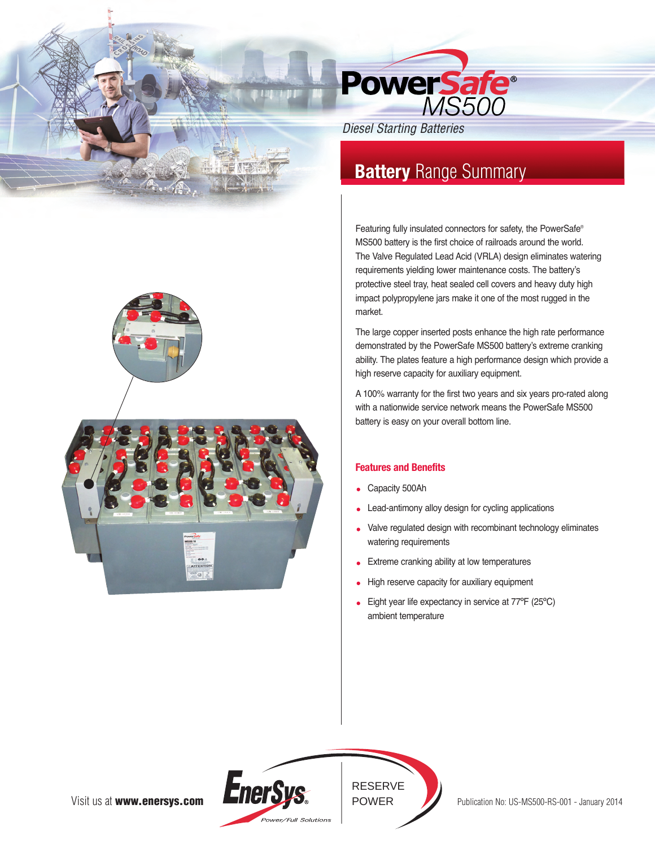

*Diesel Starting Batteries*

# **Battery** Range Summary

Featuring fully insulated connectors for safety, the PowerSafe® MS500 battery is the first choice of railroads around the world. The Valve Regulated Lead Acid (VRLA) design eliminates watering requirements yielding lower maintenance costs. The battery's protective steel tray, heat sealed cell covers and heavy duty high impact polypropylene jars make it one of the most rugged in the market.

The large copper inserted posts enhance the high rate performance demonstrated by the PowerSafe MS500 battery's extreme cranking ability. The plates feature a high performance design which provide a high reserve capacity for auxiliary equipment.

A 100% warranty for the first two years and six years pro-rated along with a nationwide service network means the PowerSafe MS500 battery is easy on your overall bottom line.

## **Features and Benefits**

- Capacity 500Ah
- Lead-antimony alloy design for cycling applications
- Valve regulated design with recombinant technology eliminates watering requirements
- Extreme cranking ability at low temperatures
- High reserve capacity for auxiliary equipment
- Eight year life expectancy in service at 77ºF (25ºC) ambient temperature